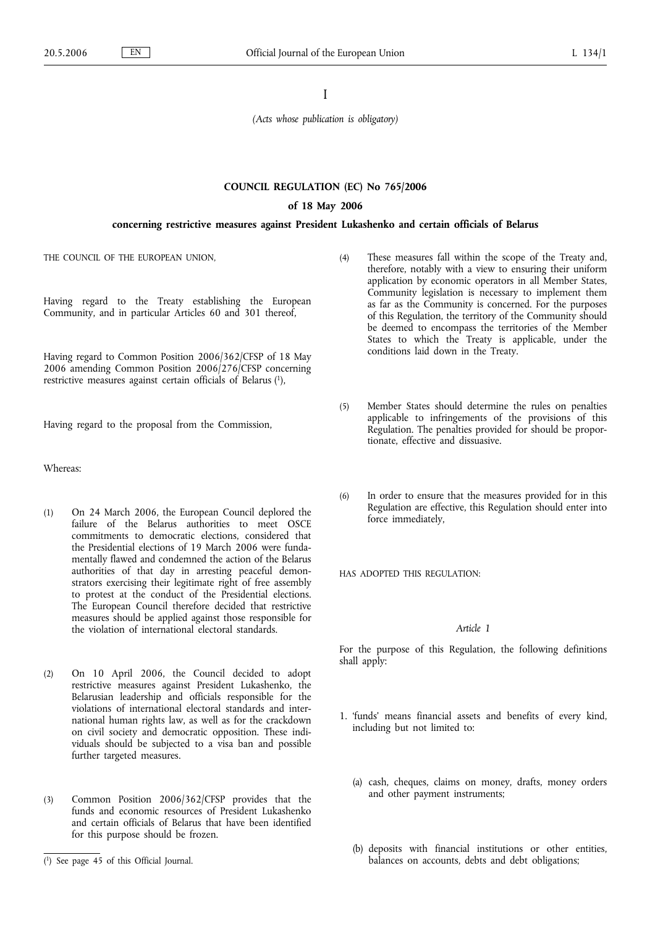I

*(Acts whose publication is obligatory)*

# **COUNCIL REGULATION (EC) No 765/2006**

#### **of 18 May 2006**

## **concerning restrictive measures against President Lukashenko and certain officials of Belarus**

THE COUNCIL OF THE EUROPEAN UNION,

Having regard to the Treaty establishing the European Community, and in particular Articles 60 and 301 thereof,

Having regard to Common Position 2006/362/CFSP of 18 May 2006 amending Common Position 2006/276/CFSP concerning restrictive measures against certain officials of Belarus (1),

Having regard to the proposal from the Commission,

Whereas:

- (1) On 24 March 2006, the European Council deplored the failure of the Belarus authorities to meet OSCE commitments to democratic elections, considered that the Presidential elections of 19 March 2006 were fundamentally flawed and condemned the action of the Belarus authorities of that day in arresting peaceful demonstrators exercising their legitimate right of free assembly to protest at the conduct of the Presidential elections. The European Council therefore decided that restrictive measures should be applied against those responsible for the violation of international electoral standards.
- (2) On 10 April 2006, the Council decided to adopt restrictive measures against President Lukashenko, the Belarusian leadership and officials responsible for the violations of international electoral standards and international human rights law, as well as for the crackdown on civil society and democratic opposition. These individuals should be subjected to a visa ban and possible further targeted measures.
- (3) Common Position 2006/362/CFSP provides that the funds and economic resources of President Lukashenko and certain officials of Belarus that have been identified for this purpose should be frozen.
- (4) These measures fall within the scope of the Treaty and, therefore, notably with a view to ensuring their uniform application by economic operators in all Member States, Community legislation is necessary to implement them as far as the Community is concerned. For the purposes of this Regulation, the territory of the Community should be deemed to encompass the territories of the Member States to which the Treaty is applicable, under the conditions laid down in the Treaty.
- (5) Member States should determine the rules on penalties applicable to infringements of the provisions of this Regulation. The penalties provided for should be proportionate, effective and dissuasive.
- (6) In order to ensure that the measures provided for in this Regulation are effective, this Regulation should enter into force immediately,

HAS ADOPTED THIS REGULATION:

# *Article 1*

For the purpose of this Regulation, the following definitions shall apply:

- 1. 'funds' means financial assets and benefits of every kind, including but not limited to:
	- (a) cash, cheques, claims on money, drafts, money orders and other payment instruments;
	- (b) deposits with financial institutions or other entities, balances on accounts, debts and debt obligations;

<sup>(</sup> 1) See page 45 of this Official Journal.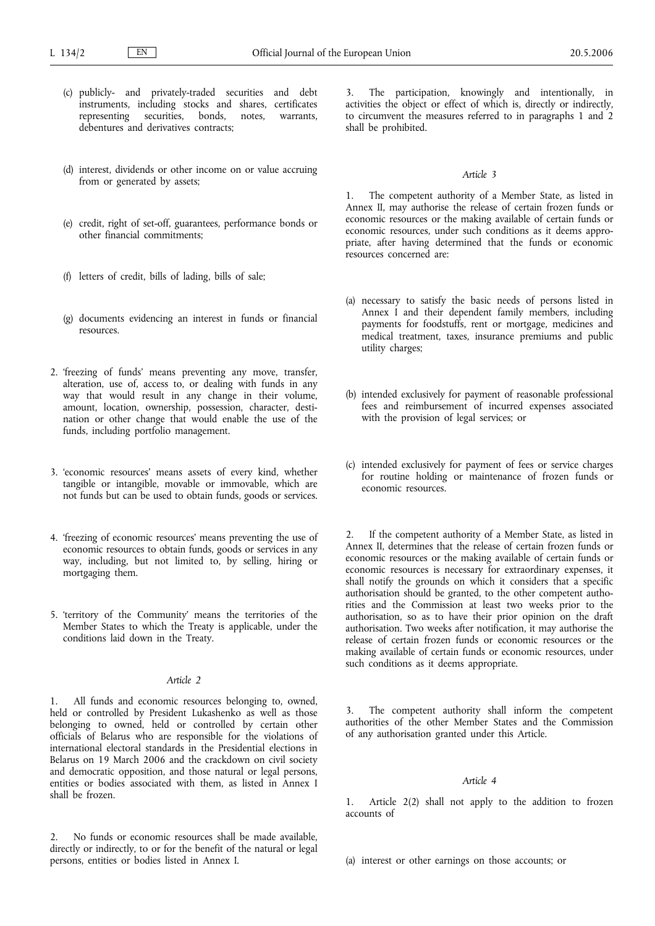- (c) publicly- and privately-traded securities and debt instruments, including stocks and shares, certificates representing securities, bonds, notes, warrants, debentures and derivatives contracts;
- (d) interest, dividends or other income on or value accruing from or generated by assets;
- (e) credit, right of set-off, guarantees, performance bonds or other financial commitments;
- (f) letters of credit, bills of lading, bills of sale;
- (g) documents evidencing an interest in funds or financial resources.
- 2. 'freezing of funds' means preventing any move, transfer, alteration, use of, access to, or dealing with funds in any way that would result in any change in their volume, amount, location, ownership, possession, character, destination or other change that would enable the use of the funds, including portfolio management.
- 3. 'economic resources' means assets of every kind, whether tangible or intangible, movable or immovable, which are not funds but can be used to obtain funds, goods or services.
- 4. 'freezing of economic resources' means preventing the use of economic resources to obtain funds, goods or services in any way, including, but not limited to, by selling, hiring or mortgaging them.
- 5. 'territory of the Community' means the territories of the Member States to which the Treaty is applicable, under the conditions laid down in the Treaty.

# *Article 2*

1. All funds and economic resources belonging to, owned, held or controlled by President Lukashenko as well as those belonging to owned, held or controlled by certain other officials of Belarus who are responsible for the violations of international electoral standards in the Presidential elections in Belarus on 19 March 2006 and the crackdown on civil society and democratic opposition, and those natural or legal persons, entities or bodies associated with them, as listed in Annex I shall be frozen.

2. No funds or economic resources shall be made available, directly or indirectly, to or for the benefit of the natural or legal persons, entities or bodies listed in Annex I.

The participation, knowingly and intentionally, in activities the object or effect of which is, directly or indirectly, to circumvent the measures referred to in paragraphs 1 and 2 shall be prohibited.

#### *Article 3*

1. The competent authority of a Member State, as listed in Annex II, may authorise the release of certain frozen funds or economic resources or the making available of certain funds or economic resources, under such conditions as it deems appropriate, after having determined that the funds or economic resources concerned are:

- (a) necessary to satisfy the basic needs of persons listed in Annex I and their dependent family members, including payments for foodstuffs, rent or mortgage, medicines and medical treatment, taxes, insurance premiums and public utility charges;
- (b) intended exclusively for payment of reasonable professional fees and reimbursement of incurred expenses associated with the provision of legal services; or
- (c) intended exclusively for payment of fees or service charges for routine holding or maintenance of frozen funds or economic resources.

2. If the competent authority of a Member State, as listed in Annex II, determines that the release of certain frozen funds or economic resources or the making available of certain funds or economic resources is necessary for extraordinary expenses, it shall notify the grounds on which it considers that a specific authorisation should be granted, to the other competent authorities and the Commission at least two weeks prior to the authorisation, so as to have their prior opinion on the draft authorisation. Two weeks after notification, it may authorise the release of certain frozen funds or economic resources or the making available of certain funds or economic resources, under such conditions as it deems appropriate.

3. The competent authority shall inform the competent authorities of the other Member States and the Commission of any authorisation granted under this Article.

#### *Article 4*

1. Article 2(2) shall not apply to the addition to frozen accounts of

(a) interest or other earnings on those accounts; or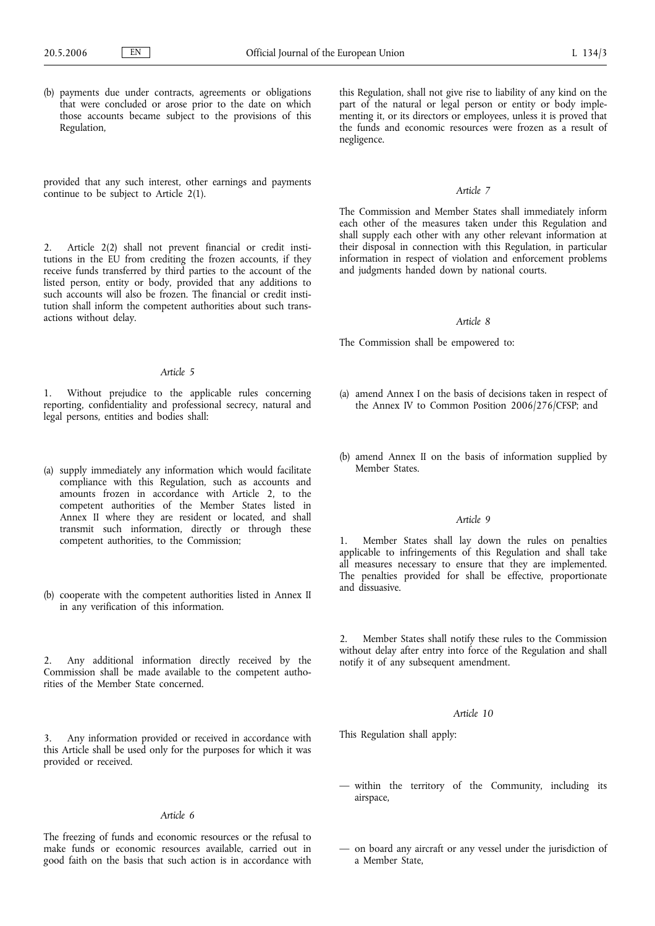(b) payments due under contracts, agreements or obligations that were concluded or arose prior to the date on which those accounts became subject to the provisions of this Regulation,

provided that any such interest, other earnings and payments continue to be subject to Article 2(1).

2. Article 2(2) shall not prevent financial or credit institutions in the EU from crediting the frozen accounts, if they receive funds transferred by third parties to the account of the listed person, entity or body, provided that any additions to such accounts will also be frozen. The financial or credit institution shall inform the competent authorities about such transactions without delay.

## *Article 5*

1. Without prejudice to the applicable rules concerning reporting, confidentiality and professional secrecy, natural and legal persons, entities and bodies shall:

- (a) supply immediately any information which would facilitate compliance with this Regulation, such as accounts and amounts frozen in accordance with Article 2, to the competent authorities of the Member States listed in Annex II where they are resident or located, and shall transmit such information, directly or through these competent authorities, to the Commission;
- (b) cooperate with the competent authorities listed in Annex II in any verification of this information.

2. Any additional information directly received by the Commission shall be made available to the competent authorities of the Member State concerned.

Any information provided or received in accordance with this Article shall be used only for the purposes for which it was provided or received.

## *Article 6*

The freezing of funds and economic resources or the refusal to make funds or economic resources available, carried out in good faith on the basis that such action is in accordance with

this Regulation, shall not give rise to liability of any kind on the part of the natural or legal person or entity or body implementing it, or its directors or employees, unless it is proved that the funds and economic resources were frozen as a result of negligence.

## *Article 7*

The Commission and Member States shall immediately inform each other of the measures taken under this Regulation and shall supply each other with any other relevant information at their disposal in connection with this Regulation, in particular information in respect of violation and enforcement problems and judgments handed down by national courts.

#### *Article 8*

The Commission shall be empowered to:

- (a) amend Annex I on the basis of decisions taken in respect of the Annex IV to Common Position 2006/276/CFSP; and
- (b) amend Annex II on the basis of information supplied by Member States.

## *Article 9*

1. Member States shall lay down the rules on penalties applicable to infringements of this Regulation and shall take all measures necessary to ensure that they are implemented. The penalties provided for shall be effective, proportionate and dissuasive.

2. Member States shall notify these rules to the Commission without delay after entry into force of the Regulation and shall notify it of any subsequent amendment.

# *Article 10*

This Regulation shall apply:

- within the territory of the Community, including its airspace,
- on board any aircraft or any vessel under the jurisdiction of a Member State,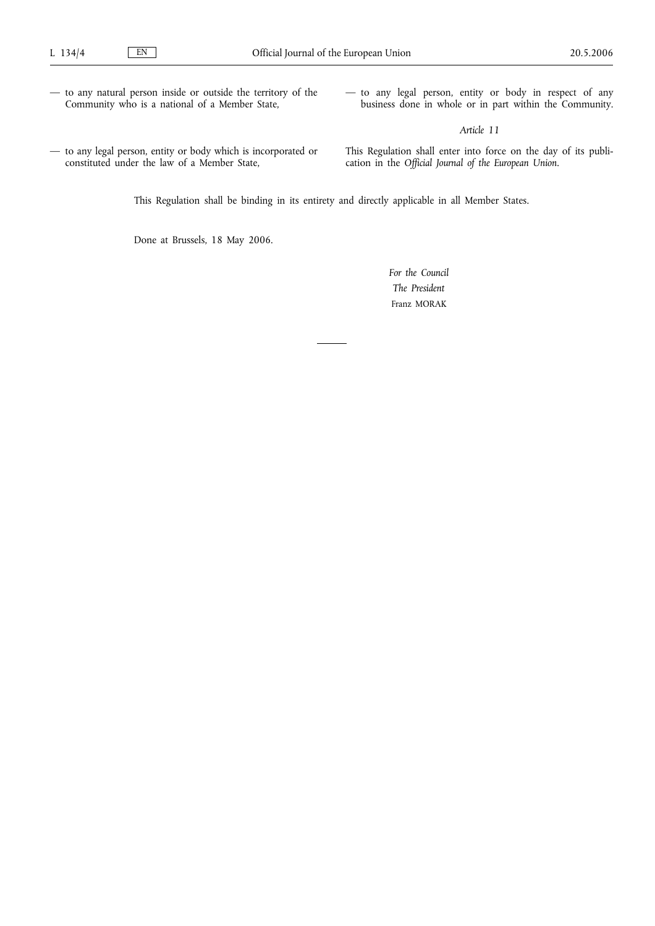- to any natural person inside or outside the territory of the Community who is a national of a Member State,
- to any legal person, entity or body in respect of any business done in whole or in part within the Community.

# *Article 11*

— to any legal person, entity or body which is incorporated or constituted under the law of a Member State,

This Regulation shall enter into force on the day of its publication in the *Official Journal of the European Union*.

This Regulation shall be binding in its entirety and directly applicable in all Member States.

Done at Brussels, 18 May 2006.

*For the Council The President* Franz MORAK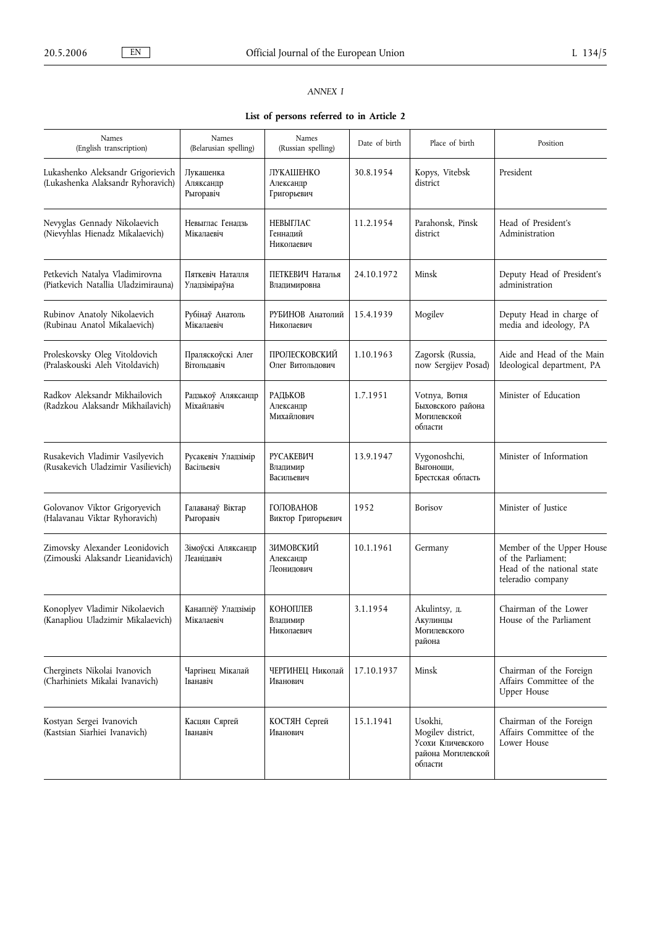# *ANNEX I*

**List of persons referred to in Article 2**

| Names<br>(English transcription)                                       | Names<br>(Belarusian spelling)           | Names<br>(Russian spelling)                  | Date of birth | Place of birth                                                                     | Position                                                                                           |
|------------------------------------------------------------------------|------------------------------------------|----------------------------------------------|---------------|------------------------------------------------------------------------------------|----------------------------------------------------------------------------------------------------|
| Lukashenko Aleksandr Grigorievich<br>(Lukashenka Alaksandr Ryhoravich) | Лукашенка<br>Аляксандр<br>Рыгоравіч      | <b>ЛУКАШЕНКО</b><br>Александр<br>Григорьевич | 30.8.1954     | Kopys, Vitebsk<br>district                                                         | President                                                                                          |
| Nevyglas Gennady Nikolaevich<br>(Nievyhlas Hienadz Mikalaevich)        | Невыглас Генадзь<br>Мікалаевіч           | НЕВЫГЛАС<br>Геннадий<br>Николаевич           | 11.2.1954     | Parahonsk, Pinsk<br>district                                                       | Head of President's<br>Administration                                                              |
| Petkevich Natalya Vladimirovna<br>(Piatkevich Natallia Uladzimirauna)  | Пяткевіч Наталля<br><b>Уладзіміраўна</b> | ПЕТКЕВИЧ Наталья<br>Владимировна             | 24.10.1972    | Minsk                                                                              | Deputy Head of President's<br>administration                                                       |
| Rubinov Anatoly Nikolaevich<br>(Rubinau Anatol Mikalaevich)            | Рубінаў Анатоль<br>Мікалаевіч            | РУБИНОВ Анатолий<br>Николаевич               | 15.4.1939     | Mogilev                                                                            | Deputy Head in charge of<br>media and ideology, PA                                                 |
| Proleskovsky Oleg Vitoldovich<br>(Pralaskouski Aleh Vitoldavich)       | Праляскоўскі Алег<br>Вітольдавіч         | ПРОЛЕСКОВСКИЙ<br>Олег Витольдович            | 1.10.1963     | Zagorsk (Russia,<br>now Sergijev Posad)                                            | Aide and Head of the Main<br>Ideological department, PA                                            |
| Radkov Aleksandr Mikhailovich<br>(Radzkou Alaksandr Mikhailavich)      | Радзькоў Аляксандр<br>Міхайлавіч         | РАДЬКОВ<br>Александр<br>Михайлович           | 1.7.1951      | Votnya, Вотня<br>Быховского района<br>Могилевской<br>области                       | Minister of Education                                                                              |
| Rusakevich Vladimir Vasilyevich<br>(Rusakevich Uladzimir Vasilievich)  | Русакевіч Уладзімір<br>Васільевіч        | <b>РУСАКЕВИЧ</b><br>Владимир<br>Васильевич   | 13.9.1947     | Vygonoshchi,<br>Выгонощи,<br>Брестская область                                     | Minister of Information                                                                            |
| Golovanov Viktor Grigoryevich<br>(Halavanau Viktar Ryhoravich)         | Галаванаў Віктар<br>Рыгоравіч            | ГОЛОВАНОВ<br>Виктор Григорьевич              | 1952          | Borisov                                                                            | Minister of Justice                                                                                |
| Zimovsky Alexander Leonidovich<br>(Zimouski Alaksandr Lieanidavich)    | Зімоўскі Аляксандр<br>Леанідавіч         | ЗИМОВСКИЙ<br>Александр<br>Леонидович         | 10.1.1961     | Germany                                                                            | Member of the Upper House<br>of the Parliament:<br>Head of the national state<br>teleradio company |
| Konoplyev Vladimir Nikolaevich<br>(Kanapliou Uladzimir Mikalaevich)    | Канаплёў Уладзімір<br>Мікалаевіч         | КОНОПЛЕВ<br>Владимир<br>Николаевич           | 3.1.1954      | Akulintsy, д.<br>Акулинцы<br>Могилевского<br>района                                | Chairman of the Lower<br>House of the Parliament                                                   |
| Cherginets Nikolai Ivanovich<br>(Charhiniets Mikalai Ivanavich)        | Чаргінец Мікалай<br>Іванавіч             | ЧЕРГИНЕЦ Николай<br>Иванович                 | 17.10.1937    | Minsk                                                                              | Chairman of the Foreign<br>Affairs Committee of the<br><b>Upper House</b>                          |
| Kostyan Sergei Ivanovich<br>(Kastsian Siarhiei Ivanavich)              | Касцян Сяргей<br>Іванавіч                | КОСТЯН Сергей<br>Иванович                    | 15.1.1941     | Usokhi,<br>Mogilev district,<br>Усохи Кличевского<br>района Могилевской<br>области | Chairman of the Foreign<br>Affairs Committee of the<br>Lower House                                 |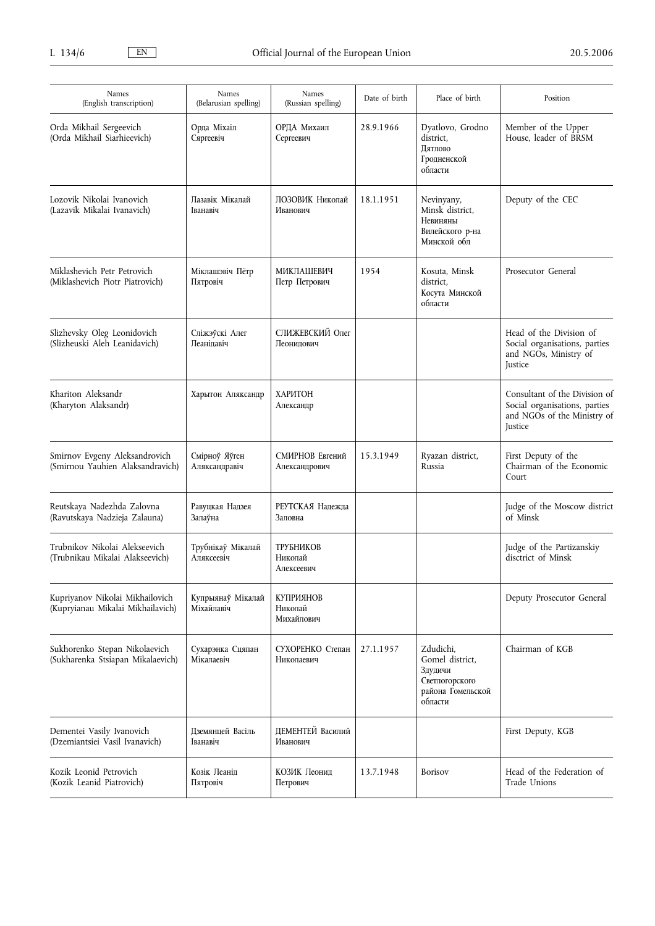| Names<br>(English transcription)                                     | Names<br>(Belarusian spelling)  | Names<br>(Russian spelling)        | Date of birth | Place of birth                                                                            | Position                                                                                                 |
|----------------------------------------------------------------------|---------------------------------|------------------------------------|---------------|-------------------------------------------------------------------------------------------|----------------------------------------------------------------------------------------------------------|
| Orda Mikhail Sergeevich<br>(Orda Mikhail Siarhieevich)               | Орда Міхаіл<br>Сяргеевіч        | ОРДА Михаил<br>Сергеевич           | 28.9.1966     | Dyatlovo, Grodno<br>district,<br>Пятлово<br>Гродненской<br>области                        | Member of the Upper<br>House, leader of BRSM                                                             |
| Lozovik Nikolai Ivanovich<br>(Lazavik Mikalai Ivanavich)             | Лазавік Мікалай<br>Іванавіч     | ЛОЗОВИК Николай<br>Иванович        | 18.1.1951     | Nevinyany,<br>Minsk district,<br>Невиняны<br>Вилейского р-на<br>Минской обл               | Deputy of the CEC                                                                                        |
| Miklashevich Petr Petrovich<br>(Miklashevich Piotr Piatrovich)       | Міклашэвіч Пётр<br>Пятровіч     | МИКЛАШЕВИЧ<br>Петр Петрович        | 1954          | Kosuta, Minsk<br>district,<br>Косута Минской<br>области                                   | Prosecutor General                                                                                       |
| Slizhevsky Oleg Leonidovich<br>(Slizheuski Aleh Leanidavich)         | Сліжэўскі Алег<br>Пеаніпавіч    | СЛИЖЕВСКИЙ Олег<br>Леонипович      |               |                                                                                           | Head of the Division of<br>Social organisations, parties<br>and NGOs, Ministry of<br>Justice             |
| Khariton Aleksandr<br>(Kharyton Alaksandr)                           | Харытон Аляксандр               | ХАРИТОН<br>Александр               |               |                                                                                           | Consultant of the Division of<br>Social organisations, parties<br>and NGOs of the Ministry of<br>Justice |
| Smirnov Evgeny Aleksandrovich<br>(Smirnou Yauhien Alaksandravich)    | Смірноў Яўген<br>Аляксандравіч  | СМИРНОВ Евгений<br>Александрович   | 15.3.1949     | Ryazan district,<br>Russia                                                                | First Deputy of the<br>Chairman of the Economic<br>Court                                                 |
| Reutskaya Nadezhda Zalovna<br>(Ravutskaya Nadzieja Zalauna)          | Равуцкая Надзея<br>Залаўна      | РЕУТСКАЯ Напежпа<br>Заловна        |               |                                                                                           | Judge of the Moscow district<br>of Minsk                                                                 |
| Trubnikov Nikolai Alekseevich<br>(Trubnikau Mikalai Alakseevich)     | Трубнікаў Мікалай<br>Аляксеевіч | ТРУБНИКОВ<br>Николай<br>Алексеевич |               |                                                                                           | Judge of the Partizanskiy<br>disctrict of Minsk                                                          |
| Kupriyanov Nikolai Mikhailovich<br>(Kupryianau Mikalai Mikhailavich) | Купрыянаў Мікалай<br>Міхайлавіч | КУПРИЯНОВ<br>Николай<br>Михайлович |               |                                                                                           | Deputy Prosecutor General                                                                                |
| Sukhorenko Stepan Nikolaevich<br>(Sukharenka Stsiapan Mikalaevich)   | Сухарэнка Сцяпан<br>Мікалаевіч  | СУХОРЕНКО Степан<br>Николаевич     | 27.1.1957     | Zdudichi,<br>Gomel district,<br>Здудичи<br>Светлогорского<br>района Гомельской<br>области | Chairman of KGB                                                                                          |
| Dementei Vasily Ivanovich<br>(Dzemiantsiei Vasil Ivanavich)          | Дземянцей Васіль<br>Іванавіч    | ПЕМЕНТЕЙ Василий<br>Иванович       |               |                                                                                           | First Deputy, KGB                                                                                        |
| Kozik Leonid Petrovich<br>(Kozik Leanid Piatrovich)                  | Козік Леанід<br>Пятровіч        | КОЗИК Леонид<br>Петрович           | 13.7.1948     | <b>Borisov</b>                                                                            | Head of the Federation of<br>Trade Unions                                                                |
|                                                                      |                                 |                                    |               |                                                                                           |                                                                                                          |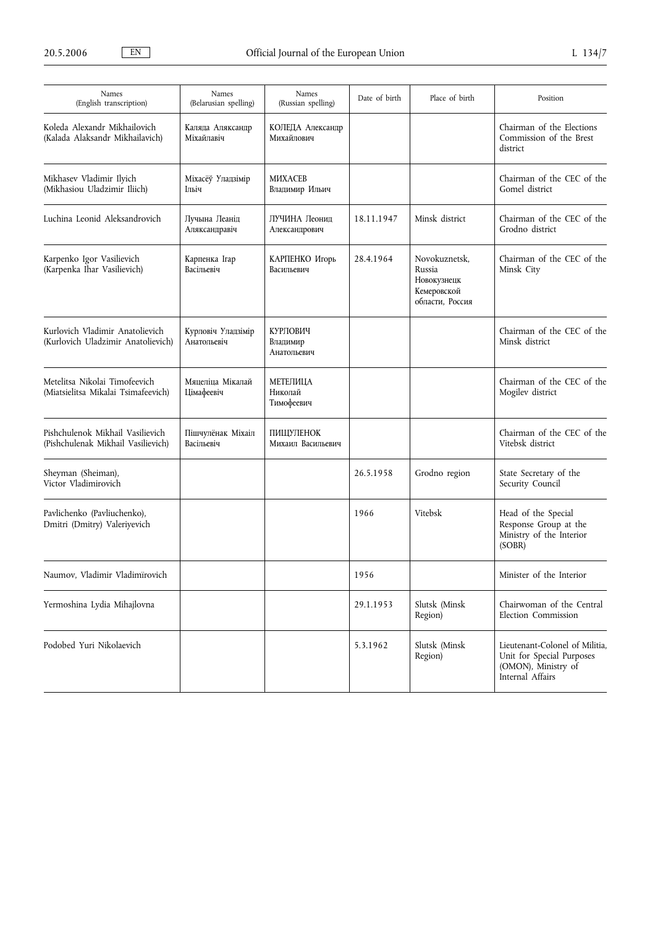| Names<br>(English transcription)                                       | Names<br>(Belarusian spelling)    | Names<br>(Russian spelling)         | Date of birth | Place of birth                                                           | Position                                                                                               |
|------------------------------------------------------------------------|-----------------------------------|-------------------------------------|---------------|--------------------------------------------------------------------------|--------------------------------------------------------------------------------------------------------|
| Koleda Alexandr Mikhailovich<br>(Kalada Alaksandr Mikhailavich)        | Каляда Аляксандр<br>Міхайлавіч    | КОЛЕДА Александр<br>Михайлович      |               |                                                                          | Chairman of the Elections<br>Commission of the Brest<br>district                                       |
| Mikhasev Vladimir Ilyich<br>(Mikhasiou Uladzimir Iliich)               | Міхасёў Уладзімір<br>Ільіч        | МИХАСЕВ<br>Владимир Ильич           |               |                                                                          | Chairman of the CEC of the<br>Gomel district                                                           |
| Luchina Leonid Aleksandrovich                                          | Лучына Леанід<br>Аляксандравіч    | ЛУЧИНА Леонид<br>Александрович      | 18.11.1947    | Minsk district                                                           | Chairman of the CEC of the<br>Grodno district                                                          |
| Karpenko Igor Vasilievich<br>(Karpenka Ihar Vasilievich)               | Карпенка Ігар<br>Васільевіч       | КАРПЕНКО Игорь<br>Васильевич        | 28.4.1964     | Novokuznetsk,<br>Russia<br>Новокузнецк<br>Кемеровской<br>области, Россия | Chairman of the CEC of the<br>Minsk City                                                               |
| Kurlovich Vladimir Anatolievich<br>(Kurlovich Uladzimir Anatolievich)  | Курловіч Уладзімір<br>Анатольевіч | КУРЛОВИЧ<br>Владимир<br>Анатольевич |               |                                                                          | Chairman of the CEC of the<br>Minsk district                                                           |
| Metelitsa Nikolai Timofeevich<br>(Miatsielitsa Mikalai Tsimafeevich)   | Мяцеліца Мікалай<br>Цімафеевіч    | МЕТЕЛИЦА<br>Николай<br>Тимофеевич   |               |                                                                          | Chairman of the CEC of the<br>Mogilev district                                                         |
| Pishchulenok Mikhail Vasilievich<br>(Pishchulenak Mikhail Vasilievich) | Пішчулёнак Міхаіл<br>Васільевіч   | ПИЩУЛЕНОК<br>Михаил Васильевич      |               |                                                                          | Chairman of the CEC of the<br>Vitebsk district                                                         |
| Sheyman (Sheiman),<br>Victor Vladimirovich                             |                                   |                                     | 26.5.1958     | Grodno region                                                            | State Secretary of the<br>Security Council                                                             |
| Pavlichenko (Pavliuchenko),<br>Dmitri (Dmitry) Valeriyevich            |                                   |                                     | 1966          | Vitebsk                                                                  | Head of the Special<br>Response Group at the<br>Ministry of the Interior<br>(SOBR)                     |
| Naumov, Vladimir Vladimïrovich                                         |                                   |                                     | 1956          |                                                                          | Minister of the Interior                                                                               |
| Yermoshina Lydia Mihajlovna                                            |                                   |                                     | 29.1.1953     | Slutsk (Minsk<br>Region)                                                 | Chairwoman of the Central<br>Election Commission                                                       |
| Podobed Yuri Nikolaevich                                               |                                   |                                     | 5.3.1962      | Slutsk (Minsk<br>Region)                                                 | Lieutenant-Colonel of Militia,<br>Unit for Special Purposes<br>(OMON), Ministry of<br>Internal Affairs |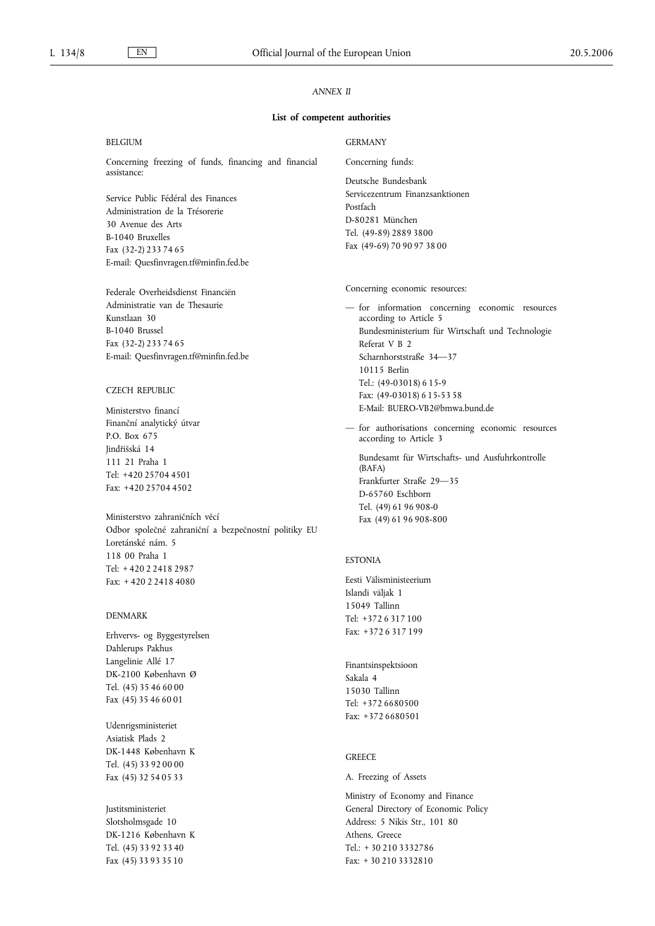# *ANNEX II*

## **List of competent authorities**

| <b>BELGIUM</b>                                        | <b>GERMANY</b>                                     |  |  |  |
|-------------------------------------------------------|----------------------------------------------------|--|--|--|
| Concerning freezing of funds, financing and financial | Concerning funds:                                  |  |  |  |
| assistance:                                           | Deutsche Bundesbank                                |  |  |  |
| Service Public Fédéral des Finances                   | Servicezentrum Finanzsanktionen                    |  |  |  |
| Administration de la Trésorerie                       | Postfach                                           |  |  |  |
| 30 Avenue des Arts                                    | D-80281 München                                    |  |  |  |
| B-1040 Bruxelles                                      | Tel. (49-89) 2889 3800                             |  |  |  |
| Fax (32-2) 233 74 65                                  | Fax (49-69) 70 90 97 38 00                         |  |  |  |
| E-mail: Quesfinvragen.tf@minfin.fed.be                |                                                    |  |  |  |
| Federale Overheidsdienst Financiën                    | Concerning economic resources:                     |  |  |  |
| Administratie van de Thesaurie                        | - for information concerning economic resources    |  |  |  |
| Kunstlaan 30                                          | according to Article 5                             |  |  |  |
| B-1040 Brussel                                        | Bundesministerium für Wirtschaft und Technologie   |  |  |  |
| Fax (32-2) 233 74 65                                  | Referat V B 2                                      |  |  |  |
| E-mail: Quesfinvragen.tf@minfin.fed.be                | Scharnhorststraße 34-37                            |  |  |  |
|                                                       | 10115 Berlin                                       |  |  |  |
| <b>CZECH REPUBLIC</b>                                 | Tel.: (49-03018) 6 15-9                            |  |  |  |
|                                                       | Fax: (49-03018) 6 15-53 58                         |  |  |  |
| Ministerstvo financí                                  | E-Mail: BUERO-VB2@bmwa.bund.de                     |  |  |  |
| Finanční analytický útvar                             | - for authorisations concerning economic resources |  |  |  |
| P.O. Box 675                                          | according to Article 3                             |  |  |  |
| Jindřišská 14                                         | Bundesamt für Wirtschafts- und Ausfuhrkontrolle    |  |  |  |
| 111 21 Praha 1                                        | (BAFA)                                             |  |  |  |
| Tel: +420 25704 4501                                  | Frankfurter Straße 29-35                           |  |  |  |
| Fax: +420 25704 4502                                  | D-65760 Eschborn                                   |  |  |  |
|                                                       | Tel. (49) 61 96 908-0                              |  |  |  |
| Ministerstvo zahraničních věcí                        | Fax (49) 61 96 908-800                             |  |  |  |
| Odbor společné zahraniční a bezpečnostní politiky EU  |                                                    |  |  |  |
| Loretánské nám. 5                                     |                                                    |  |  |  |
| 118 00 Praha 1                                        | <b>ESTONIA</b>                                     |  |  |  |
| Tel: +420224182987                                    | Eesti Välisministeerium                            |  |  |  |
| Fax: $+420224184080$                                  | Islandi väljak 1                                   |  |  |  |
|                                                       | 15049 Tallinn                                      |  |  |  |

# DENMARK

Erhvervs- og Byggestyrelsen Dahlerups Pakhus Langelinie Allé 17 DK-2100 København Ø Tel. (45) 35 46 60 00 Fax (45) 35 46 60 01

Udenrigsministeriet Asiatisk Plads 2 DK-1448 København K Tel. (45) 33 92 00 00 Fax (45) 32 54 05 33

Justitsministeriet Slotsholmsgade 10 DK-1216 København K Tel. (45) 33 92 33 40 Fax (45) 33 93 35 10

# **GREECE**

Sakala 4 15030 Tallinn Tel: +372 6680500 Fax: +372 6680501

## A. Freezing of Assets

Tel: +372 6 317 100 Fax: +372 6 317 199

Finantsinspektsioon

Ministry of Economy and Finance General Directory of Economic Policy Address: 5 Nikis Str., 101 80 Athens, Greece Tel.: + 30 210 3332786 Fax: + 30 210 3332810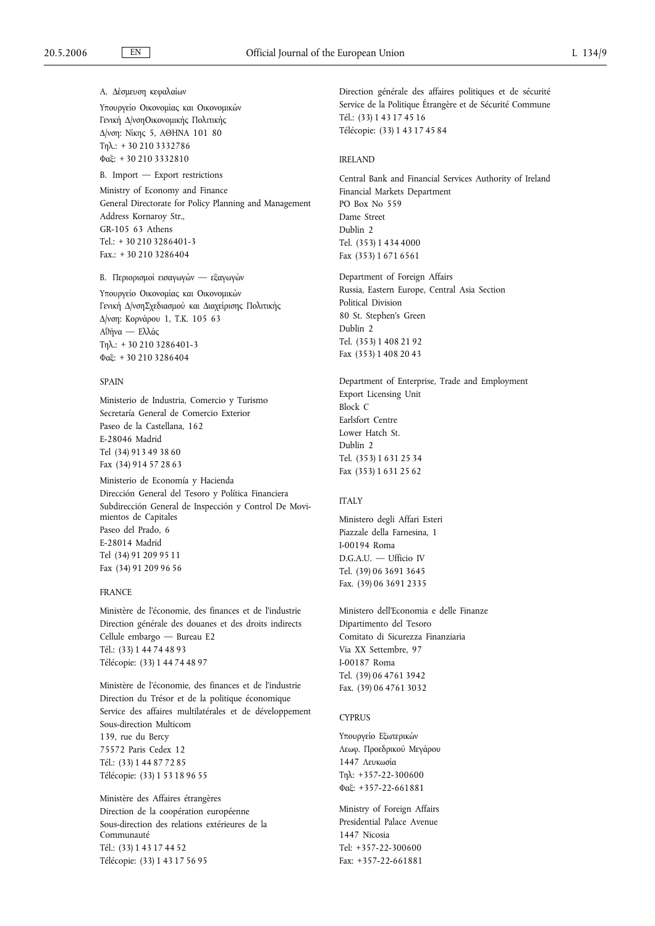Α. Δέσμευση κεφαλαίων Υπουργείο Οικονομίας και Οικονομικών Γενική Δ/νσηΟικονομικής Πολιτικής Δ/νση: Νίκης 5, ΑΘΗΝΑ 101 80 Τηλ.: + 30 210 3332786 Φαξ: + 30 210 3332810

B. Import — Export restrictions

Ministry of Economy and Finance General Directorate for Policy Planning and Management Address Kornaroy Str., GR-105 63 Athens Tel.: + 30 210 3286401-3 Fax.: + 30 210 3286404

Β. Περιορισμοί εισαγωγών — εξαγωγών Υπουργείο Οικονομίας και Οικονομικών Γενική Δ/νσηΣχεδιασμού και Διαχείρισης Πολιτικής Δ/νση: Κορνάρου 1, Τ.Κ. 105 63 Αθήνα — Ελλάς Τηλ.: + 30 210 3286401-3 Φαξ: + 30 210 3286404

## SPAIN

Ministerio de Industria, Comercio y Turismo Secretaría General de Comercio Exterior Paseo de la Castellana, 162 E-28046 Madrid Tel (34) 913 49 38 60 Fax (34) 914 57 28 63

Ministerio de Economía y Hacienda Dirección General del Tesoro y Política Financiera Subdirección General de Inspección y Control De Movimientos de Capitales Paseo del Prado, 6 E-28014 Madrid Tel (34) 91 209 95 11 Fax (34) 91 209 96 56

## FRANCE

Ministère de l'économie, des finances et de l'industrie Direction générale des douanes et des droits indirects Cellule embargo — Bureau E2 Tél.: (33) 1 44 74 48 93 Télécopie: (33) 1 44 74 48 97

Ministère de l'économie, des finances et de l'industrie Direction du Trésor et de la politique économique Service des affaires multilatérales et de développement Sous-direction Multicom 139, rue du Bercy

75572 Paris Cedex 12 Tél.: (33) 1 44 87 72 85 Télécopie: (33) 1 53 18 96 55

Ministère des Affaires étrangères Direction de la coopération européenne Sous-direction des relations extérieures de la Communauté Tél.: (33) 1 43 17 44 52 Télécopie: (33) 1 43 17 56 95

Direction générale des affaires politiques et de sécurité Service de la Politique Étrangère et de Sécurité Commune Tél.: (33) 1 43 17 45 16 Télécopie: (33) 1 43 17 45 84

#### IRELAND

Central Bank and Financial Services Authority of Ireland Financial Markets Department PO Box No 559 Dame Street Dublin 2 Tel. (353) 1 434 4000 Fax (353) 1 671 6561

Department of Foreign Affairs Russia, Eastern Europe, Central Asia Section Political Division 80 St. Stephen's Green Dublin 2 Tel. (353) 1 408 21 92 Fax (353) 1 408 20 43

Department of Enterprise, Trade and Employment Export Licensing Unit Block C Earlsfort Centre Lower Hatch St. Dublin 2 Tel. (353) 1 631 25 34 Fax (353) 1 631 25 62

# ITALY

Ministero degli Affari Esteri Piazzale della Farnesina, 1 I-00194 Roma D.G.A.U. — Ufficio IV Tel. (39) 06 3691 3645 Fax. (39) 06 3691 2335

Ministero dell'Economia e delle Finanze Dipartimento del Tesoro Comitato di Sicurezza Finanziaria Via XX Settembre, 97 I-00187 Roma Tel. (39) 06 4761 3942 Fax. (39) 06 4761 3032

#### **CYPRUS**

Υπουργείο Εξωτερικών Λεωφ. Προεδρικού Μεγάρου 1447 Λευκωσία Τηλ: +357-22-300600 Φαξ: +357-22-661881

Ministry of Foreign Affairs Presidential Palace Avenue 1447 Nicosia Tel: +357-22-300600 Fax: +357-22-661881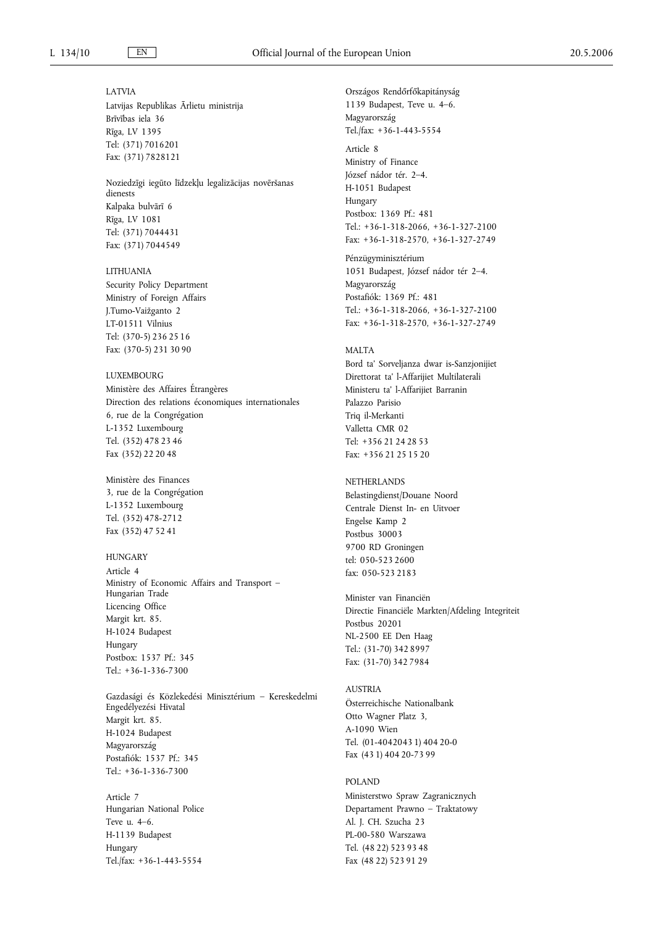#### LATVIA

Latvijas Republikas Ārlietu ministrija Brīvības iela 36 Rīga, LV 1395 Tel: (371) 7016201 Fax: (371) 7828121

Noziedzīgi iegūto līdzekļu legalizācijas novēršanas dienests Kalpaka bulvārī 6 Rīga, LV 1081 Tel: (371) 7044431 Fax: (371) 7044549

## LITHUANIA

Security Policy Department Ministry of Foreign Affairs J.Tumo-Vaižganto 2 LT-01511 Vilnius Tel: (370-5) 236 25 16 Fax: (370-5) 231 30 90

# LUXEMBOURG

Ministère des Affaires Étrangères Direction des relations économiques internationales 6, rue de la Congrégation L-1352 Luxembourg Tel. (352) 478 23 46 Fax (352) 22 20 48

Ministère des Finances 3, rue de la Congrégation L-1352 Luxembourg Tel. (352) 478-2712 Fax (352) 47 52 41

## **HUNGARY**

Article 4 Ministry of Economic Affairs and Transport – Hungarian Trade Licencing Office Margit krt. 85. H-1024 Budapest Hungary Postbox: 1537 Pf.: 345 Tel.: +36-1-336-7300

Gazdasági és Közlekedési Minisztérium – Kereskedelmi Engedélyezési Hivatal Margit krt. 85. H-1024 Budapest Magyarország Postafiók: 1537 Pf.: 345 Tel.: +36-1-336-7300

Article 7 Hungarian National Police Teve u. 4–6. H-1139 Budapest Hungary Tel./fax: +36-1-443-5554

Tel./fax: +36-1-443-5554 Article 8 Ministry of Finance József nádor tér. 2–4. H-1051 Budapest Hungary Postbox: 1369 Pf.: 481 Tel.: +36-1-318-2066, +36-1-327-2100 Fax: +36-1-318-2570, +36-1-327-2749

Országos Rendőrfőkapitányság 1139 Budapest, Teve u. 4–6.

Magyarország

Pénzügyminisztérium 1051 Budapest, József nádor tér 2–4. Magyarország Postafiók: 1369 Pf.: 481 Tel.: +36-1-318-2066, +36-1-327-2100 Fax: +36-1-318-2570, +36-1-327-2749

# MALTA

Bord ta' Sorveljanza dwar is-Sanzjonijiet Direttorat ta' l-Affarijiet Multilaterali Ministeru ta' l-Affarijiet Barranin Palazzo Parisio Triq il-Merkanti Valletta CMR 02 Tel: +356 21 24 28 53 Fax: +356 21 25 15 20

**NETHERLANDS** Belastingdienst/Douane Noord Centrale Dienst In- en Uitvoer Engelse Kamp 2 Postbus 30003 9700 RD Groningen tel: 050-523 2600 fax: 050-523 2183

Minister van Financiën Directie Financiële Markten/Afdeling Integriteit Postbus 20201 NL-2500 EE Den Haag Tel.: (31-70) 342 8997 Fax: (31-70) 342 7984

# **AUSTRIA** Österreichische Nationalbank Otto Wagner Platz 3, A-1090 Wien Tel. (01-4042043 1) 404 20-0 Fax (43 1) 404 20-73 99

# POLAND

Ministerstwo Spraw Zagranicznych Departament Prawno – Traktatowy Al. J. CH. Szucha 23 PL-00-580 Warszawa Tel. (48 22) 523 93 48 Fax (48 22) 523 91 29